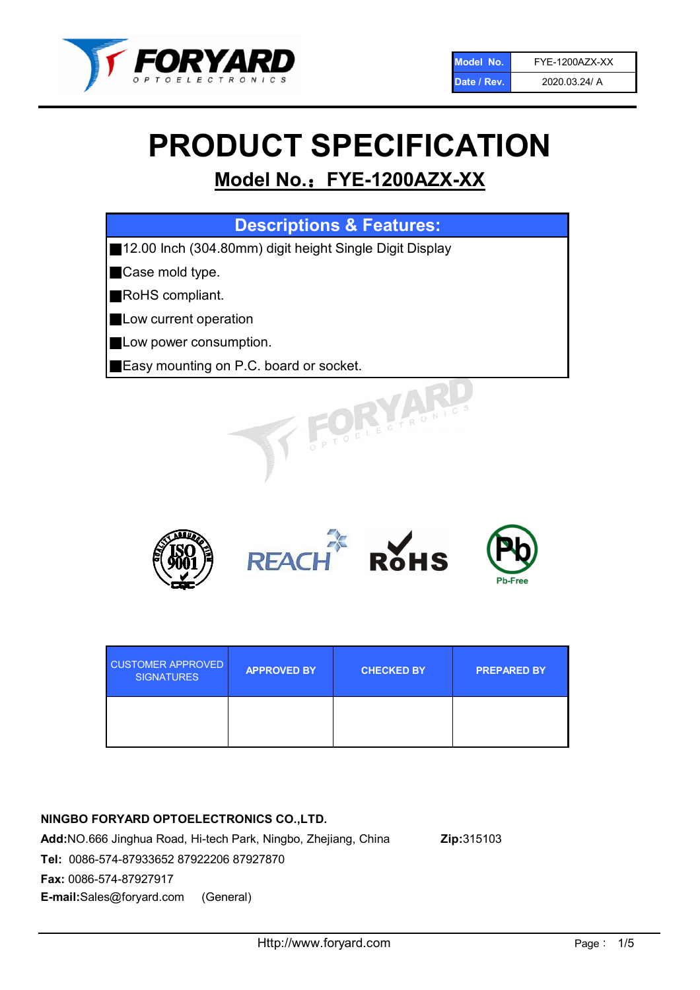

# PRODUCT SPECIFICATION

## Model No.: FYE-1200AZX-XX

| <b>Descriptions &amp; Features:</b> |  |
|-------------------------------------|--|
|                                     |  |

■12.00 Inch (304.80mm) digit height Single Digit Display

■Case mold type.

■RoHS compliant.

- **Low current operation**
- **Low power consumption.**
- ■Easy mounting on P.C. board or socket.



| <b>CUSTOMER APPROVED</b><br><b>SIGNATURES</b> | <b>APPROVED BY</b> | <b>CHECKED BY</b> | <b>PREPARED BY</b> |
|-----------------------------------------------|--------------------|-------------------|--------------------|
|                                               |                    |                   |                    |

## NINGBO FORYARD OPTOELECTRONICS CO.,LTD.

Add:NO.666 Jinghua Road, Hi-tech Park, Ningbo, Zhejiang, China Zip:315103 Tel: 0086-574-87933652 87922206 87927870 Fax: 0086-574-87927917 E-mail:Sales@foryard.com (General)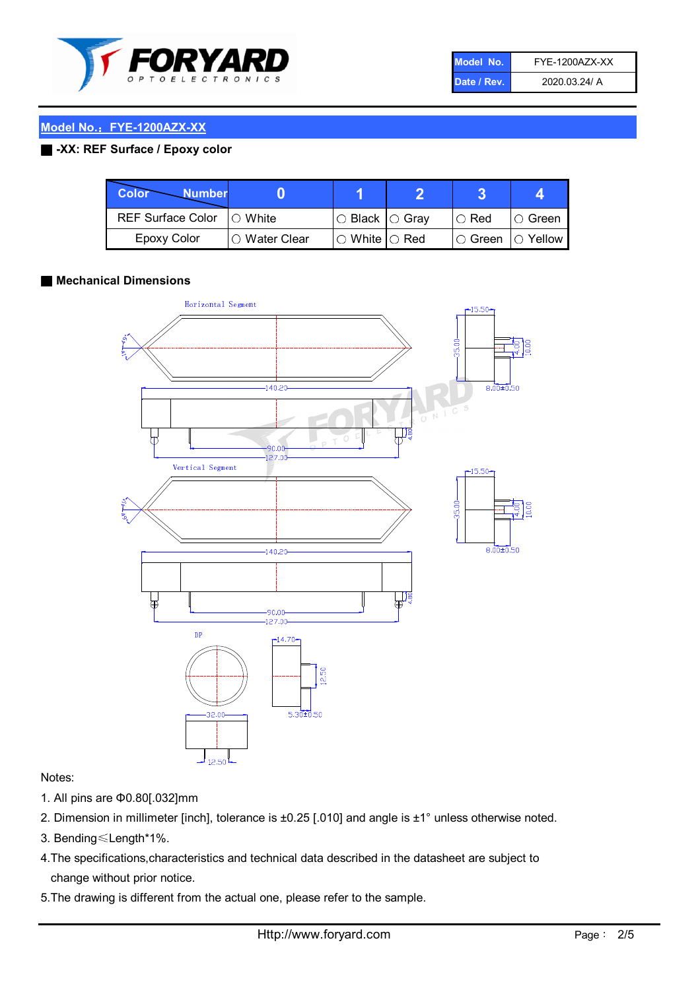

| Model No.   | FYE-1200AZX-XX |
|-------------|----------------|
| Date / Rev. | 2020.03.24/ A  |

## Model No.: FYE-1200AZX-XX

## ■ -XX: REF Surface / Epoxy color

| Color<br><b>Number</b>      |                        |                                                   |             |               |
|-----------------------------|------------------------|---------------------------------------------------|-------------|---------------|
| REF Surface Color   O White |                        | ○ Black  ○ Gray                                   | $\circ$ Red | $\circ$ Green |
| Epoxy Color                 | $\bigcirc$ Water Clear | $\mathbin{\varcap}$ White $\mathbin{\varcap}$ Red | I⊖ Green.   | I∩ Yellow     |

## ■ Mechanical Dimensions



## Notes:

- 1. All pins are Φ0.80[.032]mm
- 2. Dimension in millimeter [inch], tolerance is ±0.25 [.010] and angle is ±1° unless otherwise noted.
- 3. Bending≤Length\*1%.
- 4.The specifications,characteristics and technical data described in the datasheet are subject to change without prior notice.
- 5.The drawing is different from the actual one, please refer to the sample.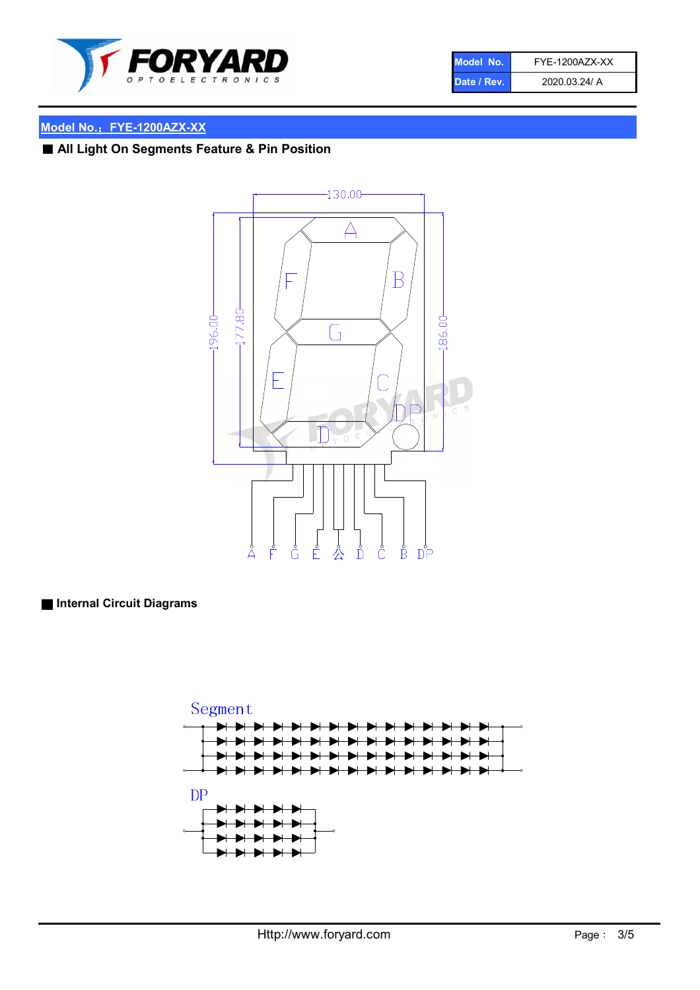

| Model No.   | FYE-1200AZX-XX |
|-------------|----------------|
| Date / Rev. | 2020.03.24/ A  |

## Model No.: FYE-1200AZX-XX

## ■ All Light On Segments Feature & Pin Position



■ Internal Circuit Diagrams

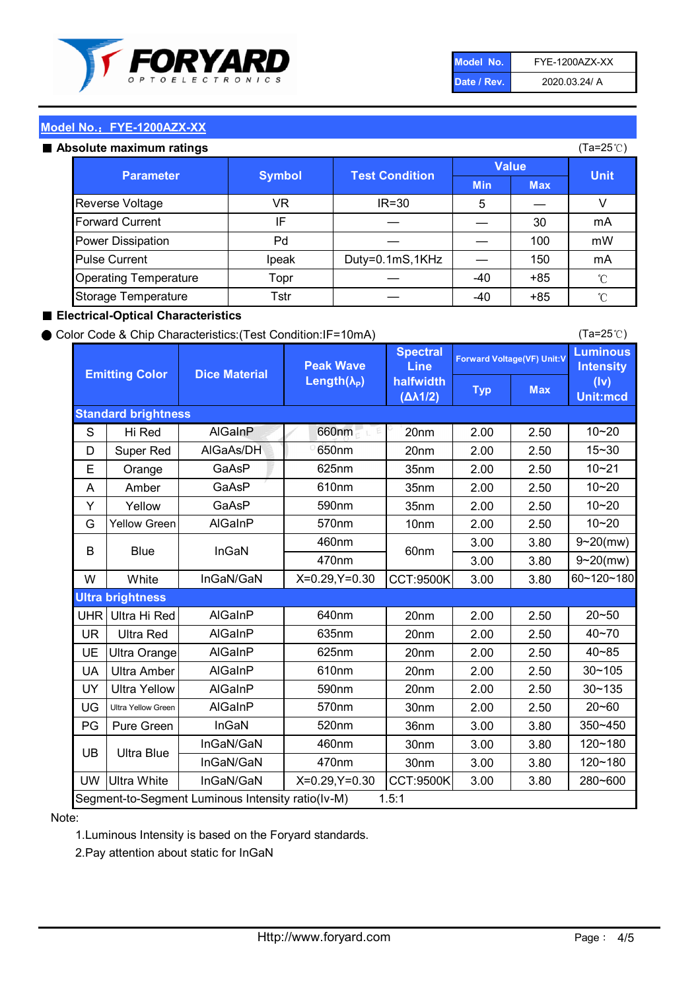

| Model No.   | FYE-1200AZX-XX |
|-------------|----------------|
| Date / Rev. | 2020.03.24/ A  |

(Ta=25℃)

## Model No.: FYE-1200AZX-XX

#### Absolute maximum ratings

| solute maximum ratings       |               |                                       |            | (Ta=25℃)   |             |
|------------------------------|---------------|---------------------------------------|------------|------------|-------------|
| <b>Parameter</b>             |               | <b>Value</b><br><b>Test Condition</b> |            |            | <b>Unit</b> |
|                              | <b>Symbol</b> |                                       | <b>Min</b> | <b>Max</b> |             |
| Reverse Voltage              | VR            | IR=30                                 | 5          |            |             |
| <b>Forward Current</b>       | IF            |                                       |            | 30         | mA          |
| Power Dissipation            | Pd            |                                       |            | 100        | mW          |
| <b>Pulse Current</b>         | Ipeak         | Duty=0.1mS,1KHz                       |            | 150        | mA          |
| <b>Operating Temperature</b> | Topr          |                                       | $-40$      | $+85$      | °C          |
| Storage Temperature          | Tstr          |                                       | $-40$      | $+85$      | °C          |

## ■ Electrical-Optical Characteristics

## ● Color Code & Chip Characteristics:(Test Condition:IF=10mA)

Typ Max S | Hi $\textsf{Red}$  | AlGaInP | 660nm LE 20nm | 2.00 | 2.50 D | Super Red | AIGaAs/DH | 650nm | 20nm | 2.00 | 2.50 E | Orange | GaAsP | 625nm | 35nm | 2.00 | 2.50 A | Amber | GaAsP | 610nm | 35nm | 2.00 | 2.50 Y | Yellow | GaAsP | 590nm | 35nm | 2.00 | 2.50 G Yellow Green AIGaInP | 570nm | 10nm | 2.00 | 2.50 3.00 3.80 3.00 3.80 W | White | InGaN/GaN | X=0.29,Y=0.30 |CCT:9500K| 3.00 | 3.80 UHR Ultra Hi Red | AlGaInP | 640nm | 20nm | 2.00 | 2.50 UR | Ultra Red | AlGaInP | 635nm | 20nm | 2.00 | 2.50 UE Ultra Orange | AIGaInP | 625nm | 20nm | 2.00 | 2.50 UA Ultra Amber | AIGaInP | 610nm | 20nm | 2.00 | 2.50  $UV$  Ultra Yellow  $\vert$  AlGaInP  $\vert$  590nm  $\vert$  20nm  $\vert$  2.00  $\vert$  2.50  $\text{UG}$  Ultra Yellow Green | AIGaInP | 570nm | 30nm | 2.00 | 2.50 PG Pure Green | InGaN | 520nm | 36nm | 3.00 | 3.80 30nm 3.00 3.80 30nm 3.00 3.80 UW |Ultra White | InGaN/GaN | X=0.29,Y=0.30 |CCT:9500K| 3.00 | 3.80 40~85 60~120~180 40~70 Segment-to-Segment Luminous Intensity ratio(Iv-M) 1.5:1 610nm 9~20(mw) 350~450 470nm 120~180 120~180 Ultra Blue InGaN/GaN InGaN/GaN 9~20(mw) 20~50 280~600 570nm | 30nm | 2.00 | 2.50 | 20~60 470nm 590nm InGaN/GaN B Blue I InGaN 570nm | 10nm | 2.00 | 2.50 | 10~20 30~105 30~135 460nm 520nm Ultra brightness **AlGaInP** AlGaInP 60nm AlGaInP 640nm Peak Wave Length $(\lambda_{\rm P})$ UB 460nm 635nm AlGaInP AlGaInP AlGaInP InGaN/GaN AlGaInP 10~20 Luminous **Intensity** (Iv) Unit:mcd AlGainP 660nm GaAsP GaAsP AlGaAs/DH **Spectral** Line halfwidth (∆λ1/2) 10~20 Standard brightness Forward Voltage(VF) Unit:V 15~30 10~20 625nm GaAsP 590nm **Emitting Color Dice Material** 10~21 610nm

## Note:

1.Luminous Intensity is based on the Foryard standards.

2.Pay attention about static for InGaN